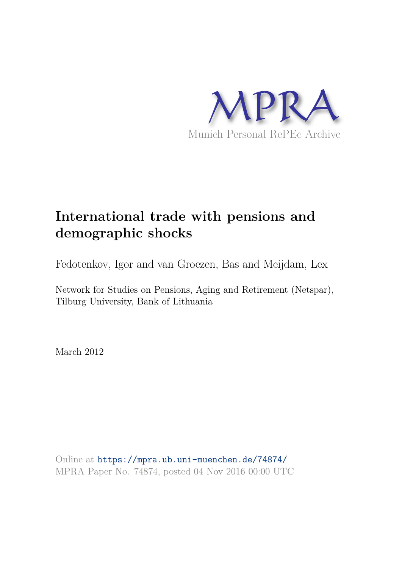

# **International trade with pensions and demographic shocks**

Fedotenkov, Igor and van Groezen, Bas and Meijdam, Lex

Network for Studies on Pensions, Aging and Retirement (Netspar), Tilburg University, Bank of Lithuania

March 2012

Online at https://mpra.ub.uni-muenchen.de/74874/ MPRA Paper No. 74874, posted 04 Nov 2016 00:00 UTC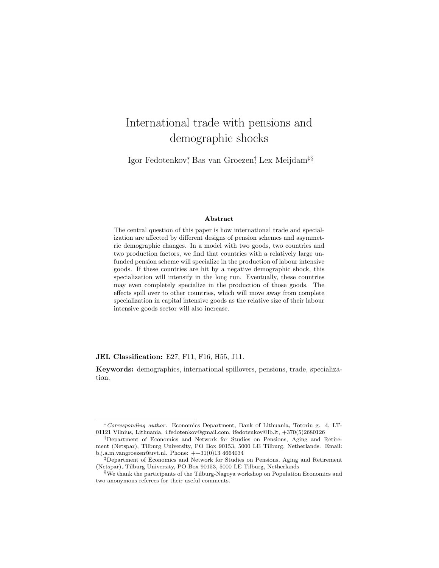## International trade with pensions and demographic shocks

Igor Fedotenkov<sup>∗</sup> , Bas van Groezen† , Lex Meijdam‡§

#### **Abstract**

The central question of this paper is how international trade and specialization are affected by different designs of pension schemes and asymmetric demographic changes. In a model with two goods, two countries and two production factors, we find that countries with a relatively large unfunded pension scheme will specialize in the production of labour intensive goods. If these countries are hit by a negative demographic shock, this specialization will intensify in the long run. Eventually, these countries may even completely specialize in the production of those goods. The effects spill over to other countries, which will move away from complete specialization in capital intensive goods as the relative size of their labour intensive goods sector will also increase.

JEL Classification: E27, F11, F16, H55, J11.

Keywords: demographics, international spillovers, pensions, trade, specialization.

<sup>∗</sup>Corresponding author. Economics Department, Bank of Lithuania, Totoriu g. 4, LT-01121 Vilnius, Lithuania. i.fedotenkov@gmail.com, ifedotenkov@lb.lt, +370(5)2680126

<sup>†</sup>Department of Economics and Network for Studies on Pensions, Aging and Retirement (Netspar), Tilburg University, PO Box 90153, 5000 LE Tilburg, Netherlands. Email: b.j.a.m.vangroezen@uvt.nl. Phone:  $++31(0)13$  4664034

<sup>‡</sup>Department of Economics and Network for Studies on Pensions, Aging and Retirement (Netspar), Tilburg University, PO Box 90153, 5000 LE Tilburg, Netherlands

<sup>§</sup>We thank the participants of the Tilburg-Nagoya workshop on Population Economics and two anonymous referees for their useful comments.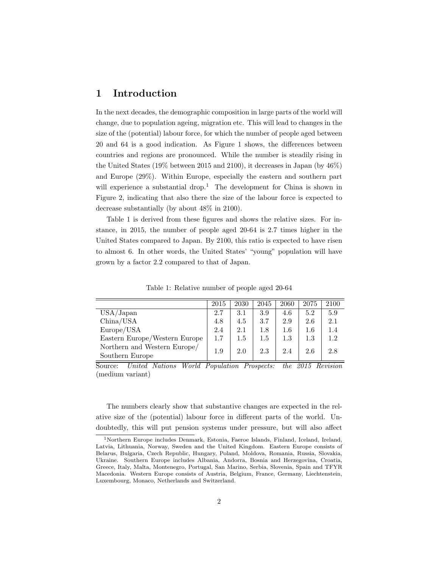## 1 Introduction

In the next decades, the demographic composition in large parts of the world will change, due to population ageing, migration etc. This will lead to changes in the size of the (potential) labour force, for which the number of people aged between 20 and 64 is a good indication. As Figure 1 shows, the differences between countries and regions are pronounced. While the number is steadily rising in the United States (19% between 2015 and 2100), it decreases in Japan (by 46%) and Europe (29%). Within Europe, especially the eastern and southern part will experience a substantial drop.<sup>1</sup> The development for China is shown in Figure 2, indicating that also there the size of the labour force is expected to decrease substantially (by about 48% in 2100).

Table 1 is derived from these figures and shows the relative sizes. For instance, in 2015, the number of people aged 20-64 is 2.7 times higher in the United States compared to Japan. By 2100, this ratio is expected to have risen to almost 6. In other words, the United States' "young" population will have grown by a factor 2.2 compared to that of Japan.

|                                                 | 2015 | 2030    | 2045 | 2060    | 2075    | 2100 |
|-------------------------------------------------|------|---------|------|---------|---------|------|
| USA/Japan                                       | 2.7  | 3.1     | 3.9  | 4.6     | 5.2     | 5.9  |
| China/USA                                       | 4.8  | 4.5     | 3.7  | 2.9     | 2.6     | 2.1  |
| Europe/USA                                      | 2.4  | 2.1     | 1.8  | $1.6\,$ | $1.6\,$ | 1.4  |
| Eastern Europe/Western Europe                   | 1.7  | $1.5\,$ | 1.5  | $1.3\,$ | 1.3     | 1.2  |
| Northern and Western Europe/<br>Southern Europe | 1.9  | 2.0     | 2.3  | 2.4     | 2.6     | 2.8  |

Table 1: Relative number of people aged 20-64

Source: United Nations World Population Prospects: the 2015 Revision (medium variant)

The numbers clearly show that substantive changes are expected in the relative size of the (potential) labour force in different parts of the world. Undoubtedly, this will put pension systems under pressure, but will also affect

<sup>&</sup>lt;sup>1</sup>Northern Europe includes Denmark, Estonia, Faeroe Islands, Finland, Iceland, Ireland, Latvia, Lithuania, Norway, Sweden and the United Kingdom. Eastern Europe consists of Belarus, Bulgaria, Czech Republic, Hungary, Poland, Moldova, Romania, Russia, Slovakia, Ukraine. Southern Europe includes Albania, Andorra, Bosnia and Herzegovina, Croatia, Greece, Italy, Malta, Montenegro, Portugal, San Marino, Serbia, Slovenia, Spain and TFYR Macedonia. Western Europe consists of Austria, Belgium, France, Germany, Liechtenstein, Luxembourg, Monaco, Netherlands and Switzerland.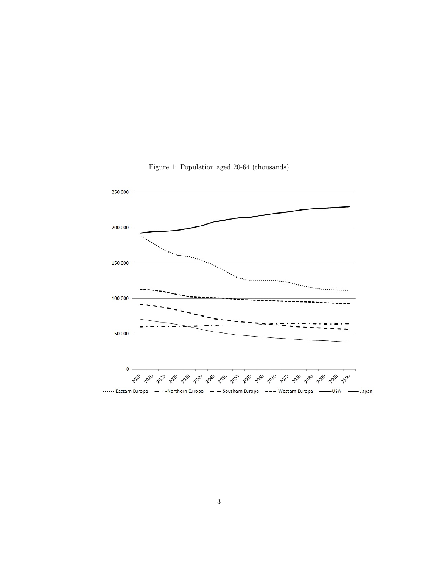

## Figure 1: Population aged 20-64 (thousands)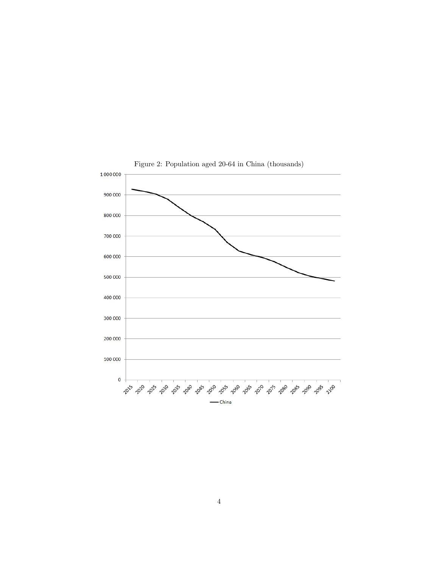

Figure 2: Population aged 20-64 in China (thousands)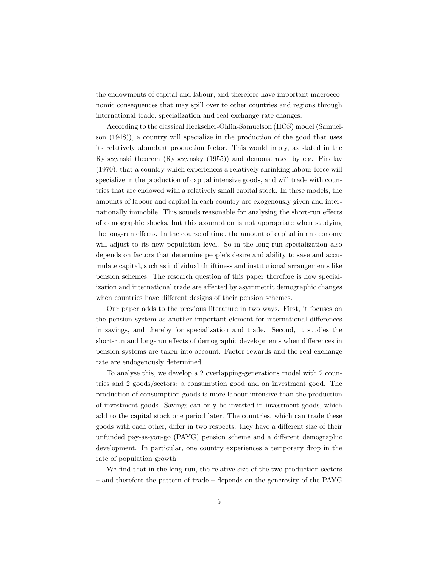the endowments of capital and labour, and therefore have important macroeconomic consequences that may spill over to other countries and regions through international trade, specialization and real exchange rate changes.

According to the classical Heckscher-Ohlin-Samuelson (HOS) model (Samuelson (1948)), a country will specialize in the production of the good that uses its relatively abundant production factor. This would imply, as stated in the Rybczynski theorem (Rybczynsky (1955)) and demonstrated by e.g. Findlay (1970), that a country which experiences a relatively shrinking labour force will specialize in the production of capital intensive goods, and will trade with countries that are endowed with a relatively small capital stock. In these models, the amounts of labour and capital in each country are exogenously given and internationally immobile. This sounds reasonable for analysing the short-run effects of demographic shocks, but this assumption is not appropriate when studying the long-run effects. In the course of time, the amount of capital in an economy will adjust to its new population level. So in the long run specialization also depends on factors that determine people's desire and ability to save and accumulate capital, such as individual thriftiness and institutional arrangements like pension schemes. The research question of this paper therefore is how specialization and international trade are affected by asymmetric demographic changes when countries have different designs of their pension schemes.

Our paper adds to the previous literature in two ways. First, it focuses on the pension system as another important element for international differences in savings, and thereby for specialization and trade. Second, it studies the short-run and long-run effects of demographic developments when differences in pension systems are taken into account. Factor rewards and the real exchange rate are endogenously determined.

To analyse this, we develop a 2 overlapping-generations model with 2 countries and 2 goods/sectors: a consumption good and an investment good. The production of consumption goods is more labour intensive than the production of investment goods. Savings can only be invested in investment goods, which add to the capital stock one period later. The countries, which can trade these goods with each other, differ in two respects: they have a different size of their unfunded pay-as-you-go (PAYG) pension scheme and a different demographic development. In particular, one country experiences a temporary drop in the rate of population growth.

We find that in the long run, the relative size of the two production sectors – and therefore the pattern of trade – depends on the generosity of the PAYG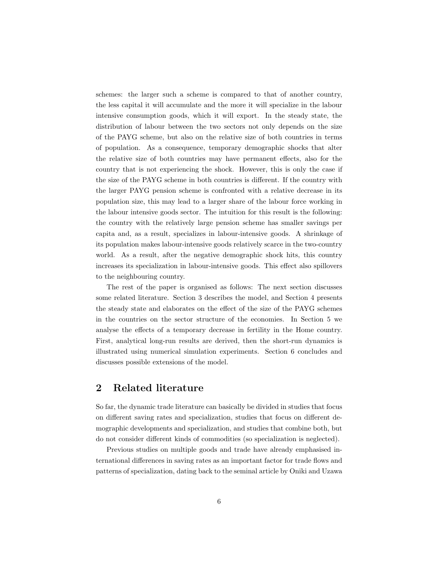schemes: the larger such a scheme is compared to that of another country, the less capital it will accumulate and the more it will specialize in the labour intensive consumption goods, which it will export. In the steady state, the distribution of labour between the two sectors not only depends on the size of the PAYG scheme, but also on the relative size of both countries in terms of population. As a consequence, temporary demographic shocks that alter the relative size of both countries may have permanent effects, also for the country that is not experiencing the shock. However, this is only the case if the size of the PAYG scheme in both countries is different. If the country with the larger PAYG pension scheme is confronted with a relative decrease in its population size, this may lead to a larger share of the labour force working in the labour intensive goods sector. The intuition for this result is the following: the country with the relatively large pension scheme has smaller savings per capita and, as a result, specializes in labour-intensive goods. A shrinkage of its population makes labour-intensive goods relatively scarce in the two-country world. As a result, after the negative demographic shock hits, this country increases its specialization in labour-intensive goods. This effect also spillovers to the neighbouring country.

The rest of the paper is organised as follows: The next section discusses some related literature. Section 3 describes the model, and Section 4 presents the steady state and elaborates on the effect of the size of the PAYG schemes in the countries on the sector structure of the economies. In Section 5 we analyse the effects of a temporary decrease in fertility in the Home country. First, analytical long-run results are derived, then the short-run dynamics is illustrated using numerical simulation experiments. Section 6 concludes and discusses possible extensions of the model.

## 2 Related literature

So far, the dynamic trade literature can basically be divided in studies that focus on different saving rates and specialization, studies that focus on different demographic developments and specialization, and studies that combine both, but do not consider different kinds of commodities (so specialization is neglected).

Previous studies on multiple goods and trade have already emphasised international differences in saving rates as an important factor for trade flows and patterns of specialization, dating back to the seminal article by Oniki and Uzawa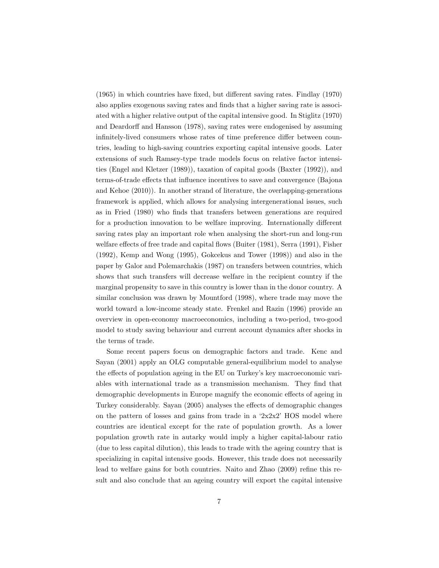(1965) in which countries have fixed, but different saving rates. Findlay (1970) also applies exogenous saving rates and finds that a higher saving rate is associated with a higher relative output of the capital intensive good. In Stiglitz (1970) and Deardorff and Hansson (1978), saving rates were endogenised by assuming infinitely-lived consumers whose rates of time preference differ between countries, leading to high-saving countries exporting capital intensive goods. Later extensions of such Ramsey-type trade models focus on relative factor intensities (Engel and Kletzer (1989)), taxation of capital goods (Baxter (1992)), and terms-of-trade effects that influence incentives to save and convergence (Bajona and Kehoe (2010)). In another strand of literature, the overlapping-generations framework is applied, which allows for analysing intergenerational issues, such as in Fried (1980) who finds that transfers between generations are required for a production innovation to be welfare improving. Internationally different saving rates play an important role when analysing the short-run and long-run welfare effects of free trade and capital flows (Buiter (1981), Serra (1991), Fisher (1992), Kemp and Wong (1995), Gokcekus and Tower (1998)) and also in the paper by Galor and Polemarchakis (1987) on transfers between countries, which shows that such transfers will decrease welfare in the recipient country if the marginal propensity to save in this country is lower than in the donor country. A similar conclusion was drawn by Mountford (1998), where trade may move the world toward a low-income steady state. Frenkel and Razin (1996) provide an overview in open-economy macroeconomics, including a two-period, two-good model to study saving behaviour and current account dynamics after shocks in the terms of trade.

Some recent papers focus on demographic factors and trade. Kenc and Sayan (2001) apply an OLG computable general-equilibrium model to analyse the effects of population ageing in the EU on Turkey's key macroeconomic variables with international trade as a transmission mechanism. They find that demographic developments in Europe magnify the economic effects of ageing in Turkey considerably. Sayan (2005) analyses the effects of demographic changes on the pattern of losses and gains from trade in a '2x2x2' HOS model where countries are identical except for the rate of population growth. As a lower population growth rate in autarky would imply a higher capital-labour ratio (due to less capital dilution), this leads to trade with the ageing country that is specializing in capital intensive goods. However, this trade does not necessarily lead to welfare gains for both countries. Naito and Zhao (2009) refine this result and also conclude that an ageing country will export the capital intensive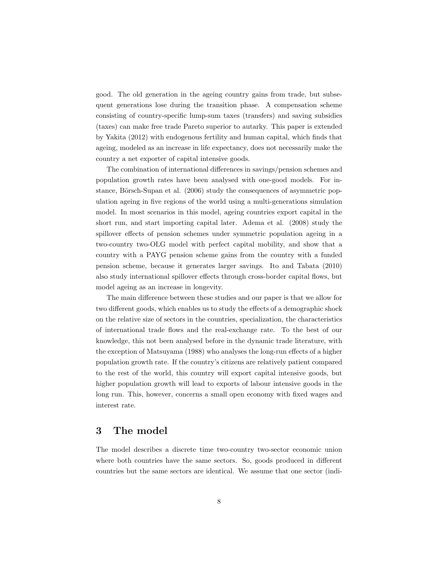good. The old generation in the ageing country gains from trade, but subsequent generations lose during the transition phase. A compensation scheme consisting of country-specific lump-sum taxes (transfers) and saving subsidies (taxes) can make free trade Pareto superior to autarky. This paper is extended by Yakita (2012) with endogenous fertility and human capital, which finds that ageing, modeled as an increase in life expectancy, does not necessarily make the country a net exporter of capital intensive goods.

The combination of international differences in savings/pension schemes and population growth rates have been analysed with one-good models. For instance, Börsch-Supan et al. (2006) study the consequences of asymmetric population ageing in five regions of the world using a multi-generations simulation model. In most scenarios in this model, ageing countries export capital in the short run, and start importing capital later. Adema et al. (2008) study the spillover effects of pension schemes under symmetric population ageing in a two-country two-OLG model with perfect capital mobility, and show that a country with a PAYG pension scheme gains from the country with a funded pension scheme, because it generates larger savings. Ito and Tabata (2010) also study international spillover effects through cross-border capital flows, but model ageing as an increase in longevity.

The main difference between these studies and our paper is that we allow for two different goods, which enables us to study the effects of a demographic shock on the relative size of sectors in the countries, specialization, the characteristics of international trade flows and the real-exchange rate. To the best of our knowledge, this not been analysed before in the dynamic trade literature, with the exception of Matsuyama (1988) who analyses the long-run effects of a higher population growth rate. If the country's citizens are relatively patient compared to the rest of the world, this country will export capital intensive goods, but higher population growth will lead to exports of labour intensive goods in the long run. This, however, concerns a small open economy with fixed wages and interest rate.

## 3 The model

The model describes a discrete time two-country two-sector economic union where both countries have the same sectors. So, goods produced in different countries but the same sectors are identical. We assume that one sector (indi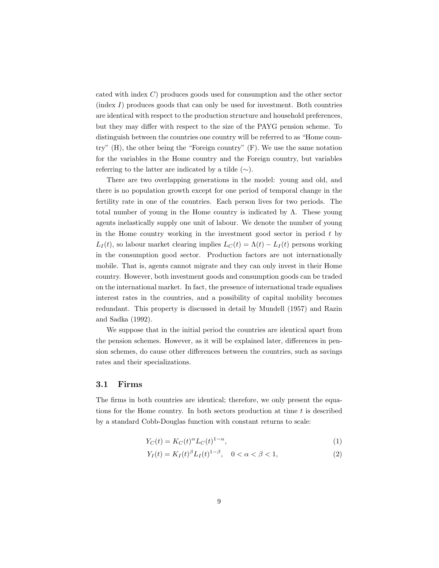cated with index C) produces goods used for consumption and the other sector  $(\text{index } I)$  produces goods that can only be used for investment. Both countries are identical with respect to the production structure and household preferences, but they may differ with respect to the size of the PAYG pension scheme. To distinguish between the countries one country will be referred to as "Home country" (H), the other being the "Foreign country" (F). We use the same notation for the variables in the Home country and the Foreign country, but variables referring to the latter are indicated by a tilde  $(\sim)$ .

There are two overlapping generations in the model: young and old, and there is no population growth except for one period of temporal change in the fertility rate in one of the countries. Each person lives for two periods. The total number of young in the Home country is indicated by  $\Lambda$ . These young agents inelastically supply one unit of labour. We denote the number of young in the Home country working in the investment good sector in period  $t$  by  $L_I(t)$ , so labour market clearing implies  $L_C(t) = \Lambda(t) - L_I(t)$  persons working in the consumption good sector. Production factors are not internationally mobile. That is, agents cannot migrate and they can only invest in their Home country. However, both investment goods and consumption goods can be traded on the international market. In fact, the presence of international trade equalises interest rates in the countries, and a possibility of capital mobility becomes redundant. This property is discussed in detail by Mundell (1957) and Razin and Sadka (1992).

We suppose that in the initial period the countries are identical apart from the pension schemes. However, as it will be explained later, differences in pension schemes, do cause other differences between the countries, such as savings rates and their specializations.

#### 3.1 Firms

The firms in both countries are identical; therefore, we only present the equations for the Home country. In both sectors production at time  $t$  is described by a standard Cobb-Douglas function with constant returns to scale:

$$
Y_C(t) = K_C(t)^{\alpha} L_C(t)^{1-\alpha},\tag{1}
$$

$$
Y_I(t) = K_I(t)^{\beta} L_I(t)^{1-\beta}, \quad 0 < \alpha < \beta < 1,
$$
 (2)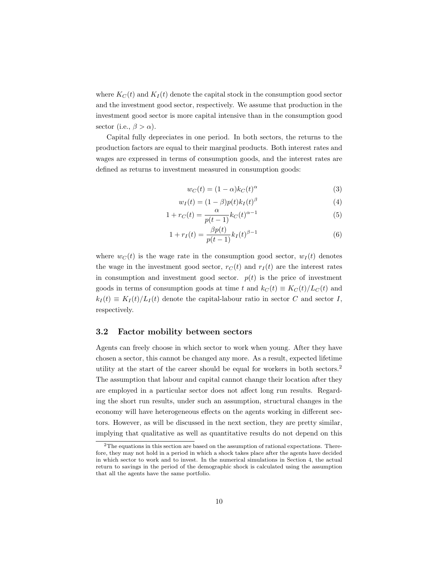where  $K_C(t)$  and  $K_I(t)$  denote the capital stock in the consumption good sector and the investment good sector, respectively. We assume that production in the investment good sector is more capital intensive than in the consumption good sector (i.e.,  $\beta > \alpha$ ).

Capital fully depreciates in one period. In both sectors, the returns to the production factors are equal to their marginal products. Both interest rates and wages are expressed in terms of consumption goods, and the interest rates are defined as returns to investment measured in consumption goods:

$$
w_C(t) = (1 - \alpha)k_C(t)^{\alpha}
$$
 (3)

$$
w_I(t) = (1 - \beta)p(t)k_I(t)^{\beta}
$$
\n(4)

$$
1 + r_C(t) = \frac{\alpha}{p(t-1)} k_C(t)^{\alpha - 1}
$$
 (5)

$$
1 + r_I(t) = \frac{\beta p(t)}{p(t-1)} k_I(t)^{\beta - 1}
$$
 (6)

where  $w_C(t)$  is the wage rate in the consumption good sector,  $w_I(t)$  denotes the wage in the investment good sector,  $r<sub>C</sub>(t)$  and  $r<sub>I</sub>(t)$  are the interest rates in consumption and investment good sector.  $p(t)$  is the price of investment goods in terms of consumption goods at time t and  $k<sub>C</sub>(t) \equiv K<sub>C</sub>(t)/L<sub>C</sub>(t)$  and  $k_I(t) \equiv K_I(t)/L_I(t)$  denote the capital-labour ratio in sector C and sector I, respectively.

#### 3.2 Factor mobility between sectors

Agents can freely choose in which sector to work when young. After they have chosen a sector, this cannot be changed any more. As a result, expected lifetime utility at the start of the career should be equal for workers in both sectors.<sup>2</sup> The assumption that labour and capital cannot change their location after they are employed in a particular sector does not affect long run results. Regarding the short run results, under such an assumption, structural changes in the economy will have heterogeneous effects on the agents working in different sectors. However, as will be discussed in the next section, they are pretty similar, implying that qualitative as well as quantitative results do not depend on this

 $2$ The equations in this section are based on the assumption of rational expectations. Therefore, they may not hold in a period in which a shock takes place after the agents have decided in which sector to work and to invest. In the numerical simulations in Section 4, the actual return to savings in the period of the demographic shock is calculated using the assumption that all the agents have the same portfolio.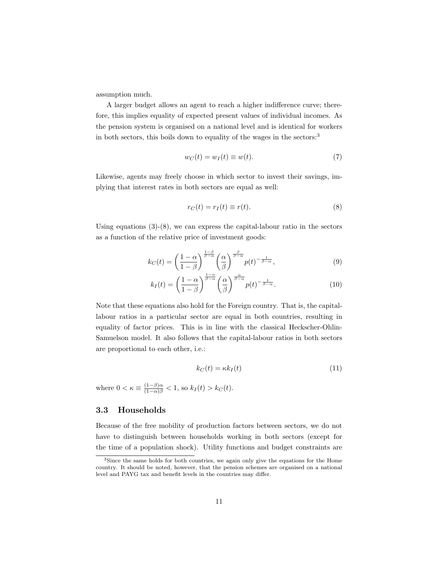assumption much.

A larger budget allows an agent to reach a higher indifference curve; therefore, this implies equality of expected present values of individual incomes. As the pension system is organised on a national level and is identical for workers in both sectors, this boils down to equality of the wages in the sectors: 3

$$
w_C(t) = w_I(t) \equiv w(t). \tag{7}
$$

Likewise, agents may freely choose in which sector to invest their savings, implying that interest rates in both sectors are equal as well:

$$
r_C(t) = r_I(t) \equiv r(t). \tag{8}
$$

Using equations  $(3)-(8)$ , we can express the capital-labour ratio in the sectors as a function of the relative price of investment goods:

$$
k_C(t) = \left(\frac{1-\alpha}{1-\beta}\right)^{\frac{1-\beta}{\beta-\alpha}} \left(\frac{\alpha}{\beta}\right)^{\frac{\beta}{\beta-\alpha}} p(t)^{-\frac{1}{\beta-\alpha}},\tag{9}
$$

$$
k_I(t) = \left(\frac{1-\alpha}{1-\beta}\right)^{\frac{1-\alpha}{\beta-\alpha}} \left(\frac{\alpha}{\beta}\right)^{\frac{\alpha}{\beta-\alpha}} p(t)^{-\frac{1}{\beta-\alpha}}.\tag{10}
$$

Note that these equations also hold for the Foreign country. That is, the capitallabour ratios in a particular sector are equal in both countries, resulting in equality of factor prices. This is in line with the classical Heckscher-Ohlin-Samuelson model. It also follows that the capital-labour ratios in both sectors are proportional to each other, i.e.:

$$
k_C(t) = \kappa k_I(t) \tag{11}
$$

where  $0 < \kappa \equiv \frac{(1-\beta)\alpha}{(1-\alpha)\beta} < 1$ , so  $k_I(t) > k_C(t)$ .

### 3.3 Households

Because of the free mobility of production factors between sectors, we do not have to distinguish between households working in both sectors (except for the time of a population shock). Utility functions and budget constraints are

<sup>3</sup>Since the same holds for both countries, we again only give the equations for the Home country. It should be noted, however, that the pension schemes are organised on a national level and PAYG tax and benefit levels in the countries may differ.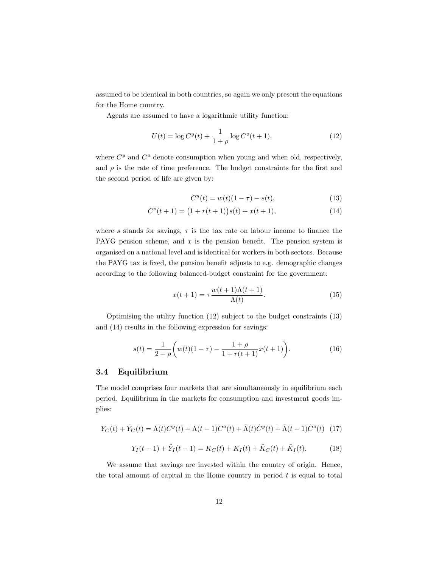assumed to be identical in both countries, so again we only present the equations for the Home country.

Agents are assumed to have a logarithmic utility function:

$$
U(t) = \log C^{y}(t) + \frac{1}{1+\rho} \log C^{o}(t+1),
$$
\n(12)

where  $C<sup>y</sup>$  and  $C<sup>o</sup>$  denote consumption when young and when old, respectively, and  $\rho$  is the rate of time preference. The budget constraints for the first and the second period of life are given by:

$$
C^{y}(t) = w(t)(1 - \tau) - s(t),
$$
\n(13)

$$
C^{o}(t+1) = (1 + r(t+1))s(t) + x(t+1),
$$
\n(14)

where s stands for savings,  $\tau$  is the tax rate on labour income to finance the PAYG pension scheme, and  $x$  is the pension benefit. The pension system is organised on a national level and is identical for workers in both sectors. Because the PAYG tax is fixed, the pension benefit adjusts to e.g. demographic changes according to the following balanced-budget constraint for the government:

$$
x(t+1) = \tau \frac{w(t+1)\Lambda(t+1)}{\Lambda(t)}.\tag{15}
$$

Optimising the utility function (12) subject to the budget constraints (13) and (14) results in the following expression for savings:

$$
s(t) = \frac{1}{2+\rho} \left( w(t)(1-\tau) - \frac{1+\rho}{1+r(t+1)} x(t+1) \right).
$$
 (16)

#### 3.4 Equilibrium

The model comprises four markets that are simultaneously in equilibrium each period. Equilibrium in the markets for consumption and investment goods implies:

$$
Y_C(t) + \tilde{Y}_C(t) = \Lambda(t)C^y(t) + \Lambda(t-1)C^o(t) + \tilde{\Lambda}(t)\tilde{C}^y(t) + \tilde{\Lambda}(t-1)\tilde{C}^o(t) \tag{17}
$$

$$
Y_I(t-1) + \tilde{Y}_I(t-1) = K_C(t) + K_I(t) + \tilde{K}_C(t) + \tilde{K}_I(t).
$$
 (18)

We assume that savings are invested within the country of origin. Hence, the total amount of capital in the Home country in period  $t$  is equal to total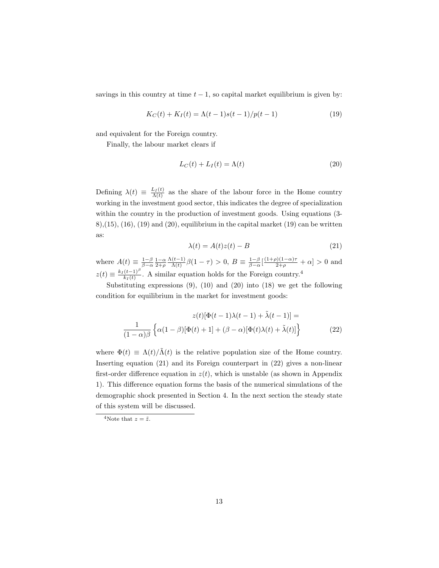savings in this country at time  $t - 1$ , so capital market equilibrium is given by:

$$
K_C(t) + K_I(t) = \Lambda(t-1)s(t-1)/p(t-1)
$$
\n(19)

and equivalent for the Foreign country.

Finally, the labour market clears if

$$
L_C(t) + L_I(t) = \Lambda(t)
$$
\n(20)

Defining  $\lambda(t) \equiv \frac{L_I(t)}{\Lambda(t)}$  as the share of the labour force in the Home country working in the investment good sector, this indicates the degree of specialization within the country in the production of investment goods. Using equations (3-  $8$ , $(15)$ ,  $(16)$ ,  $(19)$  and  $(20)$ , equilibrium in the capital market  $(19)$  can be written as:

$$
\lambda(t) = A(t)z(t) - B \tag{21}
$$

where  $A(t) \equiv \frac{1-\beta}{\beta-\alpha} \frac{1-\alpha}{2+\rho}$  $\Lambda(t-1)$  $\frac{(t-1)}{\Lambda(t)}\beta(1-\tau) > 0, B \equiv \frac{1-\beta}{\beta-\alpha} \left[\frac{(1+\rho)(1-\alpha)\tau}{2+\rho} + \alpha\right] > 0$  and  $z(t) \equiv \frac{k_I (t-1)^{\beta}}{k_I(t)}$  $\frac{(t-1)^{\nu}}{k_I(t)}$ . A similar equation holds for the Foreign country.<sup>4</sup>

Substituting expressions  $(9)$ ,  $(10)$  and  $(20)$  into  $(18)$  we get the following condition for equilibrium in the market for investment goods:

$$
z(t)[\Phi(t-1)\lambda(t-1) + \tilde{\lambda}(t-1)] =
$$

$$
\frac{1}{(1-\alpha)\beta} \left\{ \alpha(1-\beta)[\Phi(t)+1] + (\beta-\alpha)[\Phi(t)\lambda(t) + \tilde{\lambda}(t)] \right\}
$$
(22)

where  $\Phi(t) \equiv \Lambda(t)/\tilde{\Lambda}(t)$  is the relative population size of the Home country. Inserting equation (21) and its Foreign counterpart in (22) gives a non-linear first-order difference equation in  $z(t)$ , which is unstable (as shown in Appendix 1). This difference equation forms the basis of the numerical simulations of the demographic shock presented in Section 4. In the next section the steady state of this system will be discussed.

<sup>&</sup>lt;sup>4</sup>Note that  $z = \tilde{z}$ .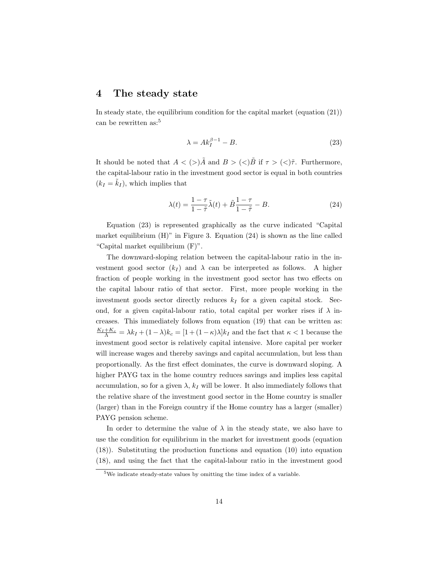## 4 The steady state

In steady state, the equilibrium condition for the capital market (equation (21)) can be rewritten as:<sup>5</sup>

$$
\lambda = Ak_I^{\beta - 1} - B. \tag{23}
$$

It should be noted that  $A < (>)\tilde{A}$  and  $B > (<) \tilde{B}$  if  $\tau > (<) \tilde{\tau}$ . Furthermore, the capital-labour ratio in the investment good sector is equal in both countries  $(k_I = k_I)$ , which implies that

$$
\lambda(t) = \frac{1-\tau}{1-\tilde{\tau}}\tilde{\lambda}(t) + \tilde{B}\frac{1-\tau}{1-\tilde{\tau}} - B.
$$
\n(24)

Equation (23) is represented graphically as the curve indicated "Capital market equilibrium  $(H)$ " in Figure 3. Equation  $(24)$  is shown as the line called "Capital market equilibrium (F)".

The downward-sloping relation between the capital-labour ratio in the investment good sector  $(k_I)$  and  $\lambda$  can be interpreted as follows. A higher fraction of people working in the investment good sector has two effects on the capital labour ratio of that sector. First, more people working in the investment goods sector directly reduces  $k_I$  for a given capital stock. Second, for a given capital-labour ratio, total capital per worker rises if  $\lambda$  increases. This immediately follows from equation (19) that can be written as:  $\frac{K_I + K_c}{\Lambda} = \lambda k_I + (1 - \lambda)k_c = [1 + (1 - \kappa)\lambda]k_I$  and the fact that  $\kappa < 1$  because the investment good sector is relatively capital intensive. More capital per worker will increase wages and thereby savings and capital accumulation, but less than proportionally. As the first effect dominates, the curve is downward sloping. A higher PAYG tax in the home country reduces savings and implies less capital accumulation, so for a given  $\lambda$ ,  $k_I$  will be lower. It also immediately follows that the relative share of the investment good sector in the Home country is smaller (larger) than in the Foreign country if the Home country has a larger (smaller) PAYG pension scheme.

In order to determine the value of  $\lambda$  in the steady state, we also have to use the condition for equilibrium in the market for investment goods (equation (18)). Substituting the production functions and equation (10) into equation (18), and using the fact that the capital-labour ratio in the investment good

<sup>5</sup>We indicate steady-state values by omitting the time index of a variable.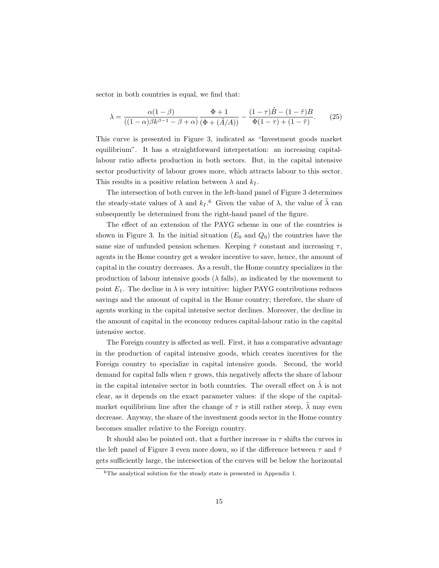sector in both countries is equal, we find that:

$$
\lambda = \frac{\alpha(1-\beta)}{((1-\alpha)\beta k^{\beta-1}-\beta+\alpha)} \frac{\Phi+1}{(\Phi+(\tilde{A}/A))} - \frac{(1-\tau)\tilde{B}-(1-\tilde{\tau})B}{\Phi(1-\tau)+(1-\tilde{\tau})}.
$$
 (25)

This curve is presented in Figure 3, indicated as "Investment goods market equilibrium". It has a straightforward interpretation: an increasing capitallabour ratio affects production in both sectors. But, in the capital intensive sector productivity of labour grows more, which attracts labour to this sector. This results in a positive relation between  $\lambda$  and  $k_I$ .

The intersection of both curves in the left-hand panel of Figure 3 determines the steady-state values of  $\lambda$  and  $k_I$ .<sup>6</sup> Given the value of  $\lambda$ , the value of  $\tilde{\lambda}$  can subsequently be determined from the right-hand panel of the figure.

The effect of an extension of the PAYG scheme in one of the countries is shown in Figure 3. In the initial situation  $(E_0 \text{ and } Q_0)$  the countries have the same size of unfunded pension schemes. Keeping  $\tilde{\tau}$  constant and increasing  $\tau$ , agents in the Home country get a weaker incentive to save, hence, the amount of capital in the country decreases. As a result, the Home country specializes in the production of labour intensive goods  $(\lambda \text{ falls})$ , as indicated by the movement to point  $E_1$ . The decline in  $\lambda$  is very intuitive: higher PAYG contributions reduces savings and the amount of capital in the Home country; therefore, the share of agents working in the capital intensive sector declines. Moreover, the decline in the amount of capital in the economy reduces capital-labour ratio in the capital intensive sector.

The Foreign country is affected as well. First, it has a comparative advantage in the production of capital intensive goods, which creates incentives for the Foreign country to specialize in capital intensive goods. Second, the world demand for capital falls when  $\tau$  grows, this negatively affects the share of labour in the capital intensive sector in both countries. The overall effect on  $\tilde{\lambda}$  is not clear, as it depends on the exact parameter values: if the slope of the capitalmarket equilibrium line after the change of  $\tau$  is still rather steep,  $\lambda$  may even decrease. Anyway, the share of the investment goods sector in the Home country becomes smaller relative to the Foreign country.

It should also be pointed out, that a further increase in  $\tau$  shifts the curves in the left panel of Figure 3 even more down, so if the difference between  $\tau$  and  $\tilde{\tau}$ gets sufficiently large, the intersection of the curves will be below the horizontal

 ${}^{6}$ The analytical solution for the steady state is presented in Appendix 1.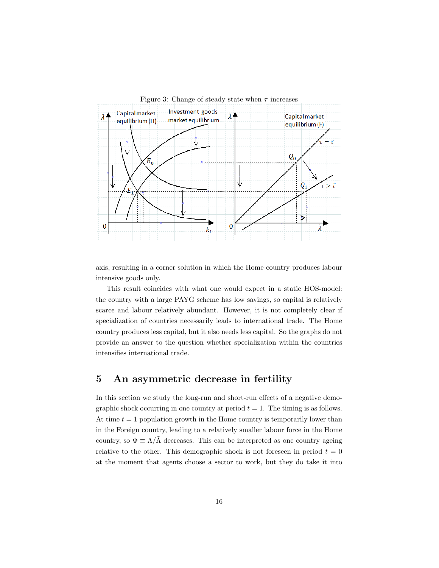

axis, resulting in a corner solution in which the Home country produces labour intensive goods only.

This result coincides with what one would expect in a static HOS-model: the country with a large PAYG scheme has low savings, so capital is relatively scarce and labour relatively abundant. However, it is not completely clear if specialization of countries necessarily leads to international trade. The Home country produces less capital, but it also needs less capital. So the graphs do not provide an answer to the question whether specialization within the countries intensifies international trade.

## 5 An asymmetric decrease in fertility

In this section we study the long-run and short-run effects of a negative demographic shock occurring in one country at period  $t = 1$ . The timing is as follows. At time  $t = 1$  population growth in the Home country is temporarily lower than in the Foreign country, leading to a relatively smaller labour force in the Home country, so  $\Phi \equiv \Lambda/\Lambda$  decreases. This can be interpreted as one country ageing relative to the other. This demographic shock is not foreseen in period  $t = 0$ at the moment that agents choose a sector to work, but they do take it into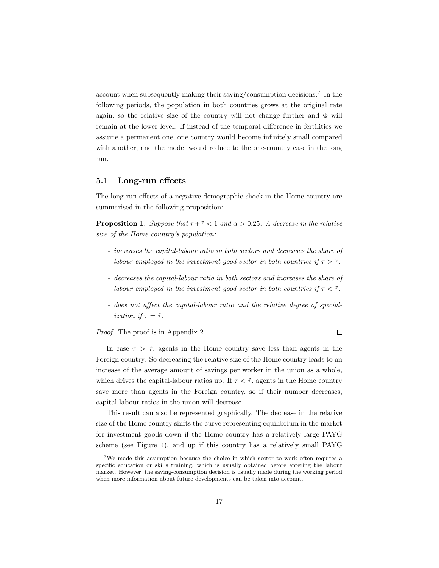account when subsequently making their saving/consumption decisions.<sup>7</sup> In the following periods, the population in both countries grows at the original rate again, so the relative size of the country will not change further and  $\Phi$  will remain at the lower level. If instead of the temporal difference in fertilities we assume a permanent one, one country would become infinitely small compared with another, and the model would reduce to the one-country case in the long run.

#### 5.1 Long-run effects

The long-run effects of a negative demographic shock in the Home country are summarised in the following proposition:

**Proposition 1.** Suppose that  $\tau + \tilde{\tau} < 1$  and  $\alpha > 0.25$ . A decrease in the relative size of the Home country's population:

- increases the capital-labour ratio in both sectors and decreases the share of labour employed in the investment good sector in both countries if  $\tau > \tilde{\tau}$ .
- decreases the capital-labour ratio in both sectors and increases the share of labour employed in the investment good sector in both countries if  $\tau < \tilde{\tau}$ .
- does not affect the capital-labour ratio and the relative degree of specialization if  $\tau = \tilde{\tau}$ .

 $\Box$ 

Proof. The proof is in Appendix 2.

In case  $\tau > \tilde{\tau}$ , agents in the Home country save less than agents in the Foreign country. So decreasing the relative size of the Home country leads to an increase of the average amount of savings per worker in the union as a whole, which drives the capital-labour ratios up. If  $\tau < \tilde{\tau}$ , agents in the Home country save more than agents in the Foreign country, so if their number decreases, capital-labour ratios in the union will decrease.

This result can also be represented graphically. The decrease in the relative size of the Home country shifts the curve representing equilibrium in the market for investment goods down if the Home country has a relatively large PAYG scheme (see Figure 4), and up if this country has a relatively small PAYG

<sup>7</sup>We made this assumption because the choice in which sector to work often requires a specific education or skills training, which is usually obtained before entering the labour market. However, the saving-consumption decision is usually made during the working period when more information about future developments can be taken into account.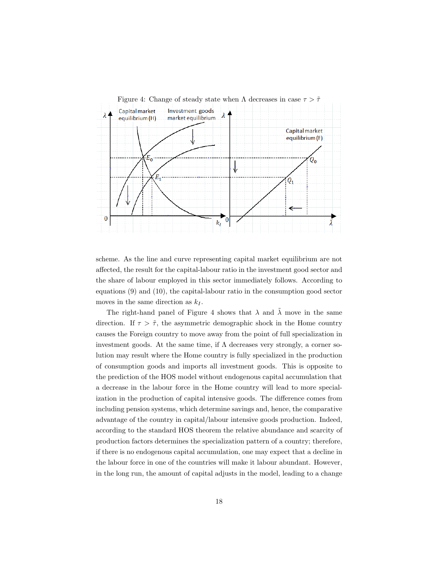

scheme. As the line and curve representing capital market equilibrium are not affected, the result for the capital-labour ratio in the investment good sector and the share of labour employed in this sector immediately follows. According to equations (9) and (10), the capital-labour ratio in the consumption good sector moves in the same direction as  $k_I$ .

The right-hand panel of Figure 4 shows that  $\lambda$  and  $\tilde{\lambda}$  move in the same direction. If  $\tau > \tilde{\tau}$ , the asymmetric demographic shock in the Home country causes the Foreign country to move away from the point of full specialization in investment goods. At the same time, if  $\Lambda$  decreases very strongly, a corner solution may result where the Home country is fully specialized in the production of consumption goods and imports all investment goods. This is opposite to the prediction of the HOS model without endogenous capital accumulation that a decrease in the labour force in the Home country will lead to more specialization in the production of capital intensive goods. The difference comes from including pension systems, which determine savings and, hence, the comparative advantage of the country in capital/labour intensive goods production. Indeed, according to the standard HOS theorem the relative abundance and scarcity of production factors determines the specialization pattern of a country; therefore, if there is no endogenous capital accumulation, one may expect that a decline in the labour force in one of the countries will make it labour abundant. However, in the long run, the amount of capital adjusts in the model, leading to a change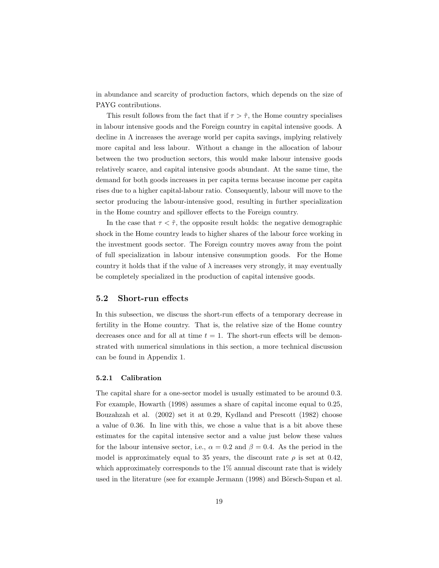in abundance and scarcity of production factors, which depends on the size of PAYG contributions.

This result follows from the fact that if  $\tau > \tilde{\tau}$ , the Home country specialises in labour intensive goods and the Foreign country in capital intensive goods. A decline in  $\Lambda$  increases the average world per capita savings, implying relatively more capital and less labour. Without a change in the allocation of labour between the two production sectors, this would make labour intensive goods relatively scarce, and capital intensive goods abundant. At the same time, the demand for both goods increases in per capita terms because income per capita rises due to a higher capital-labour ratio. Consequently, labour will move to the sector producing the labour-intensive good, resulting in further specialization in the Home country and spillover effects to the Foreign country.

In the case that  $\tau < \tilde{\tau}$ , the opposite result holds: the negative demographic shock in the Home country leads to higher shares of the labour force working in the investment goods sector. The Foreign country moves away from the point of full specialization in labour intensive consumption goods. For the Home country it holds that if the value of  $\lambda$  increases very strongly, it may eventually be completely specialized in the production of capital intensive goods.

#### 5.2 Short-run effects

In this subsection, we discuss the short-run effects of a temporary decrease in fertility in the Home country. That is, the relative size of the Home country decreases once and for all at time  $t = 1$ . The short-run effects will be demonstrated with numerical simulations in this section, a more technical discussion can be found in Appendix 1.

#### 5.2.1 Calibration

The capital share for a one-sector model is usually estimated to be around 0.3. For example, Howarth (1998) assumes a share of capital income equal to 0.25, Bouzahzah et al. (2002) set it at 0.29, Kydland and Prescott (1982) choose a value of 0.36. In line with this, we chose a value that is a bit above these estimates for the capital intensive sector and a value just below these values for the labour intensive sector, i.e.,  $\alpha = 0.2$  and  $\beta = 0.4$ . As the period in the model is approximately equal to 35 years, the discount rate  $\rho$  is set at 0.42, which approximately corresponds to the  $1\%$  annual discount rate that is widely used in the literature (see for example Jermann (1998) and Börsch-Supan et al.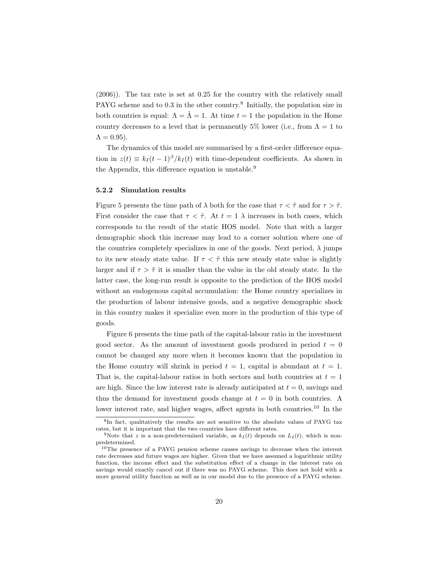(2006)). The tax rate is set at 0.25 for the country with the relatively small PAYG scheme and to 0.3 in the other country.<sup>8</sup> Initially, the population size in both countries is equal:  $\Lambda = \tilde{\Lambda} = 1$ . At time  $t = 1$  the population in the Home country decreases to a level that is permanently 5% lower (i.e., from  $\Lambda = 1$  to  $\Lambda = 0.95$ ).

The dynamics of this model are summarised by a first-order difference equation in  $z(t) \equiv k_I(t-1)^\beta/k_I(t)$  with time-dependent coefficients. As shown in the Appendix, this difference equation is unstable.<sup>9</sup>

#### 5.2.2 Simulation results

Figure 5 presents the time path of  $\lambda$  both for the case that  $\tau < \tilde{\tau}$  and for  $\tau > \tilde{\tau}$ . First consider the case that  $\tau < \tilde{\tau}$ . At  $t = 1$   $\lambda$  increases in both cases, which corresponds to the result of the static HOS model. Note that with a larger demographic shock this increase may lead to a corner solution where one of the countries completely specializes in one of the goods. Next period,  $\lambda$  jumps to its new steady state value. If  $\tau < \tilde{\tau}$  this new steady state value is slightly larger and if  $\tau > \tilde{\tau}$  it is smaller than the value in the old steady state. In the latter case, the long-run result is opposite to the prediction of the HOS model without an endogenous capital accumulation: the Home country specializes in the production of labour intensive goods, and a negative demographic shock in this country makes it specialize even more in the production of this type of goods.

Figure 6 presents the time path of the capital-labour ratio in the investment good sector. As the amount of investment goods produced in period  $t = 0$ cannot be changed any more when it becomes known that the population in the Home country will shrink in period  $t = 1$ , capital is abundant at  $t = 1$ . That is, the capital-labour ratios in both sectors and both countries at  $t = 1$ are high. Since the low interest rate is already anticipated at  $t = 0$ , savings and thus the demand for investment goods change at  $t = 0$  in both countries. A lower interest rate, and higher wages, affect agents in both countries.<sup>10</sup> In the

<sup>8</sup> In fact, qualitatively the results are not sensitive to the absolute values of PAYG tax rates, but it is important that the two countries have different rates.

<sup>&</sup>lt;sup>9</sup>Note that z is a non-predetermined variable, as  $k_I(t)$  depends on  $L_I(t)$ , which is nonpredetermined.

<sup>10</sup>The presence of a PAYG pension scheme causes savings to decrease when the interest rate decreases and future wages are higher. Given that we have assumed a logarithmic utility function, the income effect and the substitution effect of a change in the interest rate on savings would exactly cancel out if there was no PAYG scheme. This does not hold with a more general utility function as well as in our model due to the presence of a PAYG scheme.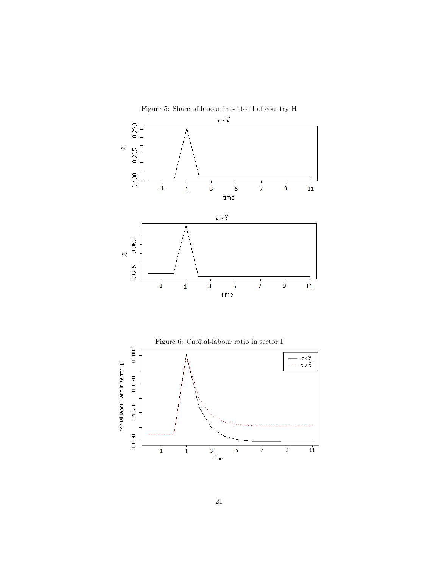

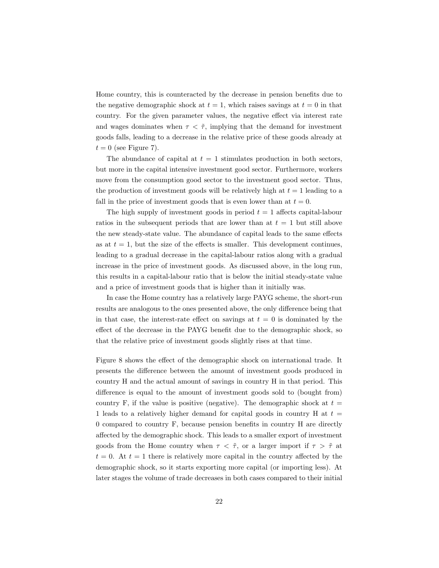Home country, this is counteracted by the decrease in pension benefits due to the negative demographic shock at  $t = 1$ , which raises savings at  $t = 0$  in that country. For the given parameter values, the negative effect via interest rate and wages dominates when  $\tau < \tilde{\tau}$ , implying that the demand for investment goods falls, leading to a decrease in the relative price of these goods already at  $t = 0$  (see Figure 7).

The abundance of capital at  $t = 1$  stimulates production in both sectors, but more in the capital intensive investment good sector. Furthermore, workers move from the consumption good sector to the investment good sector. Thus, the production of investment goods will be relatively high at  $t = 1$  leading to a fall in the price of investment goods that is even lower than at  $t = 0$ .

The high supply of investment goods in period  $t = 1$  affects capital-labour ratios in the subsequent periods that are lower than at  $t = 1$  but still above the new steady-state value. The abundance of capital leads to the same effects as at  $t = 1$ , but the size of the effects is smaller. This development continues, leading to a gradual decrease in the capital-labour ratios along with a gradual increase in the price of investment goods. As discussed above, in the long run, this results in a capital-labour ratio that is below the initial steady-state value and a price of investment goods that is higher than it initially was.

In case the Home country has a relatively large PAYG scheme, the short-run results are analogous to the ones presented above, the only difference being that in that case, the interest-rate effect on savings at  $t = 0$  is dominated by the effect of the decrease in the PAYG benefit due to the demographic shock, so that the relative price of investment goods slightly rises at that time.

Figure 8 shows the effect of the demographic shock on international trade. It presents the difference between the amount of investment goods produced in country H and the actual amount of savings in country H in that period. This difference is equal to the amount of investment goods sold to (bought from) country F, if the value is positive (negative). The demographic shock at  $t =$ 1 leads to a relatively higher demand for capital goods in country H at  $t =$ 0 compared to country F, because pension benefits in country H are directly affected by the demographic shock. This leads to a smaller export of investment goods from the Home country when  $\tau < \tilde{\tau}$ , or a larger import if  $\tau > \tilde{\tau}$  at  $t = 0$ . At  $t = 1$  there is relatively more capital in the country affected by the demographic shock, so it starts exporting more capital (or importing less). At later stages the volume of trade decreases in both cases compared to their initial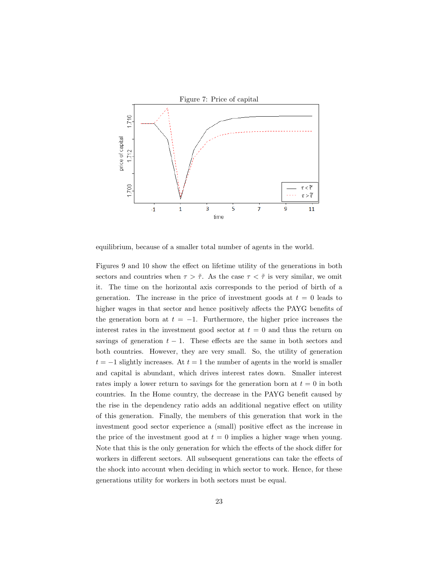

equilibrium, because of a smaller total number of agents in the world.

Figures 9 and 10 show the effect on lifetime utility of the generations in both sectors and countries when  $\tau > \tilde{\tau}$ . As the case  $\tau < \tilde{\tau}$  is very similar, we omit it. The time on the horizontal axis corresponds to the period of birth of a generation. The increase in the price of investment goods at  $t = 0$  leads to higher wages in that sector and hence positively affects the PAYG benefits of the generation born at  $t = -1$ . Furthermore, the higher price increases the interest rates in the investment good sector at  $t = 0$  and thus the return on savings of generation  $t - 1$ . These effects are the same in both sectors and both countries. However, they are very small. So, the utility of generation  $t = -1$  slightly increases. At  $t = 1$  the number of agents in the world is smaller and capital is abundant, which drives interest rates down. Smaller interest rates imply a lower return to savings for the generation born at  $t = 0$  in both countries. In the Home country, the decrease in the PAYG benefit caused by the rise in the dependency ratio adds an additional negative effect on utility of this generation. Finally, the members of this generation that work in the investment good sector experience a (small) positive effect as the increase in the price of the investment good at  $t = 0$  implies a higher wage when young. Note that this is the only generation for which the effects of the shock differ for workers in different sectors. All subsequent generations can take the effects of the shock into account when deciding in which sector to work. Hence, for these generations utility for workers in both sectors must be equal.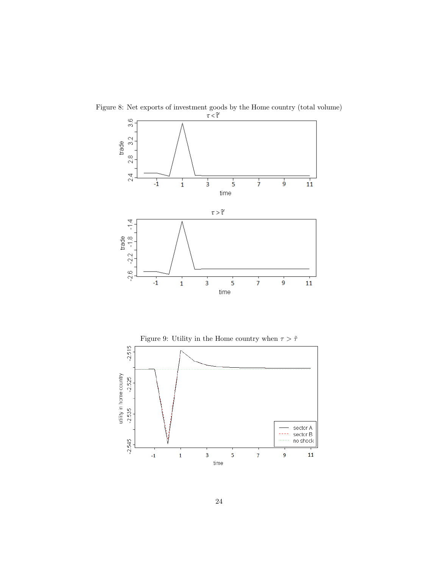

Figure 8: Net exports of investment goods by the Home country (total volume)  $\tau\!<\!\widetilde{\tau}$ 

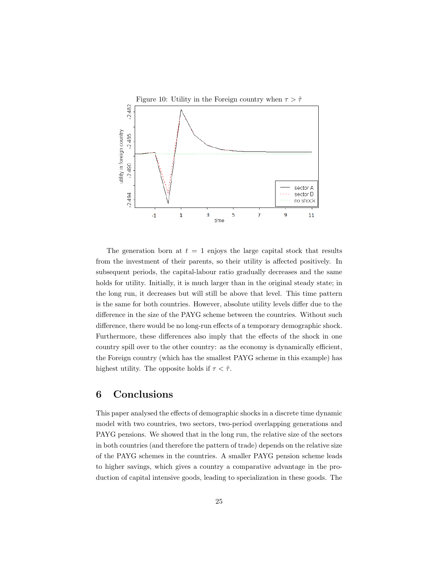

The generation born at  $t = 1$  enjoys the large capital stock that results from the investment of their parents, so their utility is affected positively. In subsequent periods, the capital-labour ratio gradually decreases and the same holds for utility. Initially, it is much larger than in the original steady state; in the long run, it decreases but will still be above that level. This time pattern is the same for both countries. However, absolute utility levels differ due to the difference in the size of the PAYG scheme between the countries. Without such difference, there would be no long-run effects of a temporary demographic shock. Furthermore, these differences also imply that the effects of the shock in one country spill over to the other country: as the economy is dynamically efficient, the Foreign country (which has the smallest PAYG scheme in this example) has highest utility. The opposite holds if  $\tau < \tilde{\tau}$ .

## 6 Conclusions

This paper analysed the effects of demographic shocks in a discrete time dynamic model with two countries, two sectors, two-period overlapping generations and PAYG pensions. We showed that in the long run, the relative size of the sectors in both countries (and therefore the pattern of trade) depends on the relative size of the PAYG schemes in the countries. A smaller PAYG pension scheme leads to higher savings, which gives a country a comparative advantage in the production of capital intensive goods, leading to specialization in these goods. The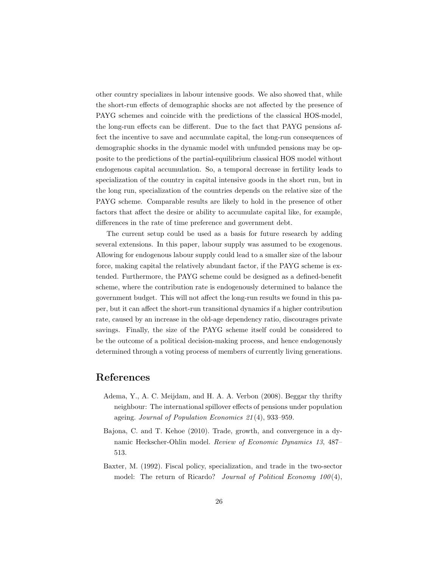other country specializes in labour intensive goods. We also showed that, while the short-run effects of demographic shocks are not affected by the presence of PAYG schemes and coincide with the predictions of the classical HOS-model, the long-run effects can be different. Due to the fact that PAYG pensions affect the incentive to save and accumulate capital, the long-run consequences of demographic shocks in the dynamic model with unfunded pensions may be opposite to the predictions of the partial-equilibrium classical HOS model without endogenous capital accumulation. So, a temporal decrease in fertility leads to specialization of the country in capital intensive goods in the short run, but in the long run, specialization of the countries depends on the relative size of the PAYG scheme. Comparable results are likely to hold in the presence of other factors that affect the desire or ability to accumulate capital like, for example, differences in the rate of time preference and government debt.

The current setup could be used as a basis for future research by adding several extensions. In this paper, labour supply was assumed to be exogenous. Allowing for endogenous labour supply could lead to a smaller size of the labour force, making capital the relatively abundant factor, if the PAYG scheme is extended. Furthermore, the PAYG scheme could be designed as a defined-benefit scheme, where the contribution rate is endogenously determined to balance the government budget. This will not affect the long-run results we found in this paper, but it can affect the short-run transitional dynamics if a higher contribution rate, caused by an increase in the old-age dependency ratio, discourages private savings. Finally, the size of the PAYG scheme itself could be considered to be the outcome of a political decision-making process, and hence endogenously determined through a voting process of members of currently living generations.

## References

- Adema, Y., A. C. Meijdam, and H. A. A. Verbon (2008). Beggar thy thrifty neighbour: The international spillover effects of pensions under population ageing. Journal of Population Economics 21 (4), 933–959.
- Bajona, C. and T. Kehoe (2010). Trade, growth, and convergence in a dynamic Heckscher-Ohlin model. Review of Economic Dynamics 13, 487– 513.
- Baxter, M. (1992). Fiscal policy, specialization, and trade in the two-sector model: The return of Ricardo? Journal of Political Economy  $100(4)$ ,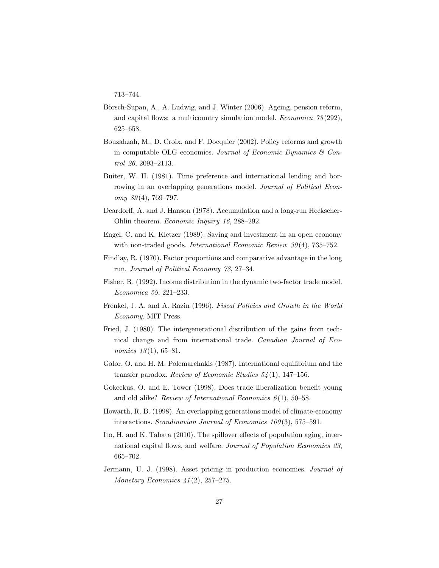713–744.

- Börsch-Supan, A., A. Ludwig, and J. Winter (2006). Ageing, pension reform, and capital flows: a multicountry simulation model. *Economica* 73(292), 625–658.
- Bouzahzah, M., D. Croix, and F. Docquier (2002). Policy reforms and growth in computable OLG economies. Journal of Economic Dynamics  $\mathcal B$  Control 26, 2093–2113.
- Buiter, W. H. (1981). Time preference and international lending and borrowing in an overlapping generations model. Journal of Political Econ $omy 89(4), 769-797.$
- Deardorff, A. and J. Hanson (1978). Accumulation and a long-run Heckscher-Ohlin theorem. Economic Inquiry 16, 288–292.
- Engel, C. and K. Kletzer (1989). Saving and investment in an open economy with non-traded goods. International Economic Review  $30(4)$ , 735–752.
- Findlay, R. (1970). Factor proportions and comparative advantage in the long run. Journal of Political Economy 78, 27–34.
- Fisher, R. (1992). Income distribution in the dynamic two-factor trade model. Economica 59, 221–233.
- Frenkel, J. A. and A. Razin (1996). Fiscal Policies and Growth in the World Economy. MIT Press.
- Fried, J. (1980). The intergenerational distribution of the gains from technical change and from international trade. Canadian Journal of Economics  $13(1), 65-81.$
- Galor, O. and H. M. Polemarchakis (1987). International equilibrium and the transfer paradox. Review of Economic Studies  $54(1)$ , 147-156.
- Gokcekus, O. and E. Tower (1998). Does trade liberalization benefit young and old alike? Review of International Economics  $6(1)$ , 50-58.
- Howarth, R. B. (1998). An overlapping generations model of climate-economy interactions. Scandinavian Journal of Economics  $100(3)$ , 575–591.
- Ito, H. and K. Tabata (2010). The spillover effects of population aging, international capital flows, and welfare. Journal of Population Economics 23, 665–702.
- Jermann, U. J. (1998). Asset pricing in production economies. Journal of Monetary Economics  $41(2)$ , 257-275.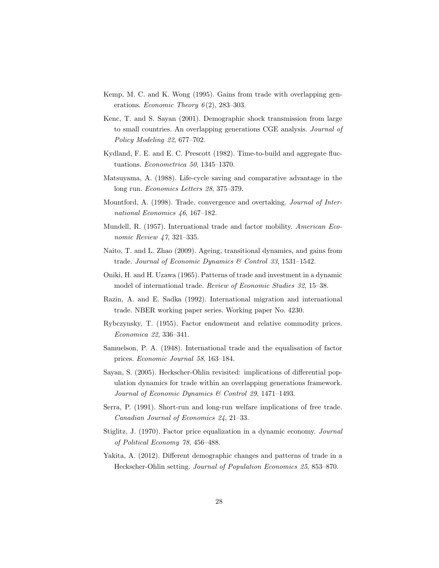- Kemp, M. C. and K. Wong (1995). Gains from trade with overlapping generations. Economic Theory  $6(2)$ , 283-303.
- Kenc, T. and S. Sayan (2001). Demographic shock transmission from large to small countries. An overlapping generations CGE analysis. Journal of Policy Modeling 22, 677–702.
- Kydland, F. E. and E. C. Prescott (1982). Time-to-build and aggregate fluctuations. Econometrica 50, 1345–1370.
- Matsuyama, A. (1988). Life-cycle saving and comparative advantage in the long run. Economics Letters 28, 375–379.
- Mountford, A. (1998). Trade, convergence and overtaking. Journal of International Economics 46, 167–182.
- Mundell, R. (1957). International trade and factor mobility. American Economic Review 47, 321–335.
- Naito, T. and L. Zhao (2009). Ageing, transitional dynamics, and gains from trade. Journal of Economic Dynamics & Control 33, 1531-1542.
- Oniki, H. and H. Uzawa (1965). Patterns of trade and investment in a dynamic model of international trade. Review of Economic Studies 32, 15–38.
- Razin, A. and E. Sadka (1992). International migration and international trade. NBER working paper series. Working paper No. 4230.
- Rybczynsky, T. (1955). Factor endowment and relative commodity prices. Economica 22, 336–341.
- Samuelson, P. A. (1948). International trade and the equalisation of factor prices. Economic Journal 58, 163–184.
- Sayan, S. (2005). Heckscher-Ohlin revisited: implications of differential population dynamics for trade within an overlapping generations framework. Journal of Economic Dynamics & Control 29, 1471–1493.
- Serra, P. (1991). Short-run and long-run welfare implications of free trade. Canadian Journal of Economics 24, 21–33.
- Stiglitz, J. (1970). Factor price equalization in a dynamic economy. Journal of Political Economy 78, 456–488.
- Yakita, A. (2012). Different demographic changes and patterns of trade in a Heckscher-Ohlin setting. Journal of Population Economics 25, 853–870.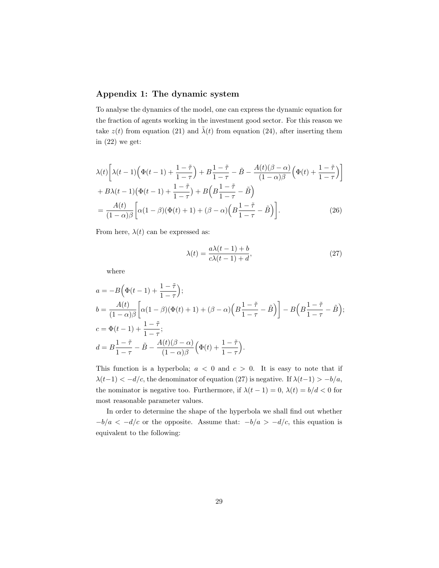## Appendix 1: The dynamic system

To analyse the dynamics of the model, one can express the dynamic equation for the fraction of agents working in the investment good sector. For this reason we take  $z(t)$  from equation (21) and  $\tilde{\lambda}(t)$  from equation (24), after inserting them in  $(22)$  we get:

$$
\lambda(t)\left[\lambda(t-1)\left(\Phi(t-1)+\frac{1-\tilde{\tau}}{1-\tau}\right)+B\frac{1-\tilde{\tau}}{1-\tau}-\tilde{B}-\frac{A(t)(\beta-\alpha)}{(1-\alpha)\beta}\left(\Phi(t)+\frac{1-\tilde{\tau}}{1-\tau}\right)\right] +B\lambda(t-1)\left(\Phi(t-1)+\frac{1-\tilde{\tau}}{1-\tau}\right)+B\left(B\frac{1-\tilde{\tau}}{1-\tau}-\tilde{B}\right) =\frac{A(t)}{(1-\alpha)\beta}\left[\alpha(1-\beta)(\Phi(t)+1)+(\beta-\alpha)\left(B\frac{1-\tilde{\tau}}{1-\tau}-\tilde{B}\right)\right].
$$
\n(26)

From here,  $\lambda(t)$  can be expressed as:

$$
\lambda(t) = \frac{a\lambda(t-1) + b}{c\lambda(t-1) + d},\tag{27}
$$

where

$$
a = -B\left(\Phi(t-1) + \frac{1-\tilde{\tau}}{1-\tau}\right);
$$
  
\n
$$
b = \frac{A(t)}{(1-\alpha)\beta} \left[\alpha(1-\beta)(\Phi(t)+1) + (\beta-\alpha)\left(B\frac{1-\tilde{\tau}}{1-\tau} - \tilde{B}\right)\right] - B\left(B\frac{1-\tilde{\tau}}{1-\tau} - \tilde{B}\right);
$$
  
\n
$$
c = \Phi(t-1) + \frac{1-\tilde{\tau}}{1-\tau};
$$
  
\n
$$
d = B\frac{1-\tilde{\tau}}{1-\tau} - \tilde{B} - \frac{A(t)(\beta-\alpha)}{(1-\alpha)\beta}\left(\Phi(t) + \frac{1-\tilde{\tau}}{1-\tau}\right).
$$

This function is a hyperbola;  $a < 0$  and  $c > 0$ . It is easy to note that if  $\lambda(t-1) < -d/c$ , the denominator of equation (27) is negative. If  $\lambda(t-1) > -b/a$ , the nominator is negative too. Furthermore, if  $\lambda(t-1) = 0$ ,  $\lambda(t) = b/d < 0$  for most reasonable parameter values.

In order to determine the shape of the hyperbola we shall find out whether  $-b/a < -d/c$  or the opposite. Assume that:  $-b/a > -d/c$ , this equation is equivalent to the following: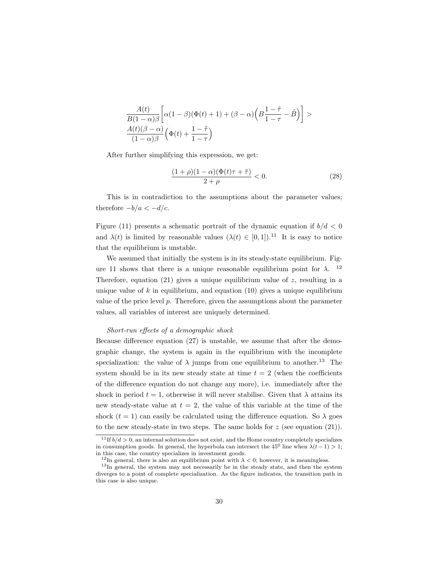$$
\frac{A(t)}{B(1-\alpha)\beta} \left[ \alpha(1-\beta)(\Phi(t)+1) + (\beta - \alpha) \left( B \frac{1-\tilde{\tau}}{1-\tau} - \tilde{B} \right) \right] > \n\frac{A(t)(\beta - \alpha)}{(1-\alpha)\beta} \left( \Phi(t) + \frac{1-\tilde{\tau}}{1-\tau} \right)
$$

After further simplifying this expression, we get:

$$
\frac{(1+\rho)(1-\alpha)(\Phi(t)\tau+\tilde{\tau})}{2+\rho} < 0. \tag{28}
$$

This is in contradiction to the assumptions about the parameter values; therefore  $-b/a < -d/c$ .

Figure (11) presents a schematic portrait of the dynamic equation if  $b/d < 0$ and  $\lambda(t)$  is limited by reasonable values  $(\lambda(t) \in [0,1])^{11}$  It is easy to notice that the equilibrium is unstable.

We assumed that initially the system is in its steady-state equilibrium. Figure 11 shows that there is a unique reasonable equilibrium point for  $\lambda$ . 12 Therefore, equation  $(21)$  gives a unique equilibrium value of z, resulting in a unique value of  $k$  in equilibrium, and equation (10) gives a unique equilibrium value of the price level  $p$ . Therefore, given the assumptions about the parameter values, all variables of interest are uniquely determined.

#### Short-run effects of a demographic shock

Because difference equation (27) is unstable, we assume that after the demographic change, the system is again in the equilibrium with the incomplete specialization: the value of  $\lambda$  jumps from one equilibrium to another.<sup>13</sup> The system should be in its new steady state at time  $t = 2$  (when the coefficients of the difference equation do not change any more), i.e. immediately after the shock in period  $t = 1$ , otherwise it will never stabilise. Given that  $\lambda$  attains its new steady-state value at  $t = 2$ , the value of this variable at the time of the shock  $(t = 1)$  can easily be calculated using the difference equation. So  $\lambda$  goes to the new steady-state in two steps. The same holds for  $z$  (see equation (21)).

<sup>&</sup>lt;sup>11</sup>If  $b/d > 0$ , an internal solution does not exist, and the Home country completely specializes in consumption goods. In general, the hyperbola can intersect the 45<sup>0</sup> line when  $\lambda(t-1) > 1$ ; in this case, the country specializes in investment goods.

<sup>&</sup>lt;sup>12</sup>In general, there is also an equilibrium point with  $\lambda < 0$ ; however, it is meaningless.

<sup>&</sup>lt;sup>13</sup>In general, the system may not necessarily be in the steady state, and then the system diverges to a point of complete specialization. As the figure indicates, the transition path in this case is also unique.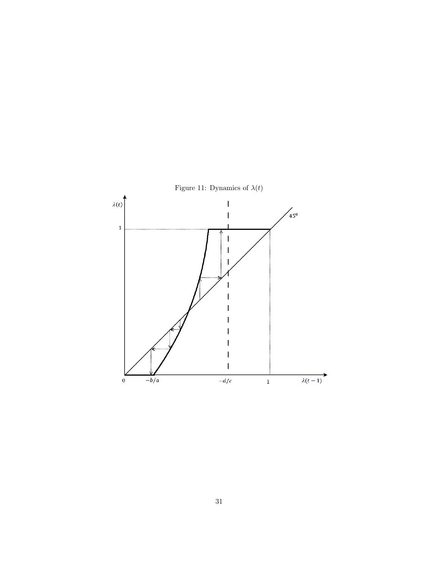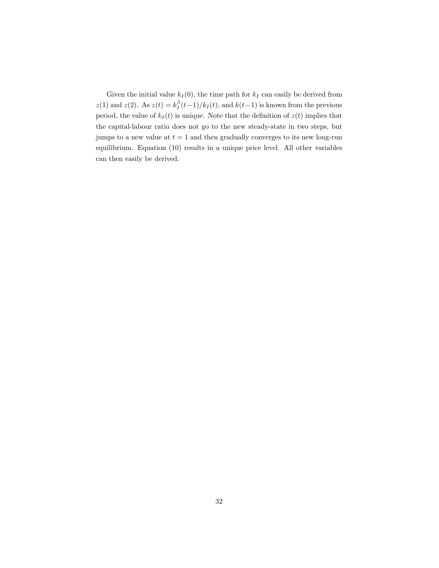Given the initial value  $k_I(0)$ , the time path for  $k_I$  can easily be derived from  $z(1)$  and  $z(2)$ . As  $z(t) = k_I^{\beta}(t-1)/k_I(t)$ , and  $k(t-1)$  is known from the previous period, the value of  $k_I(t)$  is unique. Note that the definition of  $z(t)$  implies that the capital-labour ratio does not go to the new steady-state in two steps, but jumps to a new value at  $t = 1$  and then gradually converges to its new long-run equilibrium. Equation (10) results in a unique price level. All other variables can then easily be derived.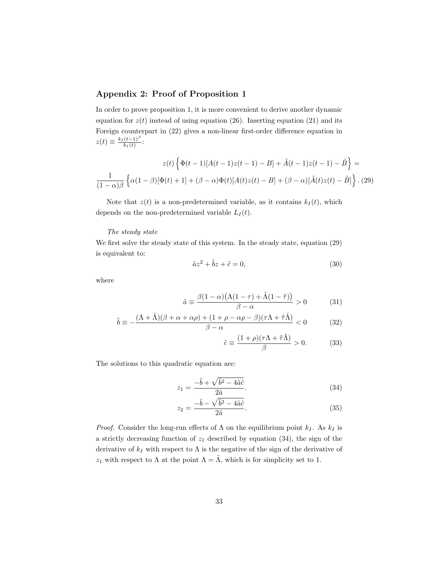## Appendix 2: Proof of Proposition 1

In order to prove proposition 1, it is more convenient to derive another dynamic equation for  $z(t)$  instead of using equation (26). Inserting equation (21) and its Foreign counterpart in (22) gives a non-linear first-order difference equation in  $z(t) \equiv \frac{k_I (t-1)^{\beta}}{k_I(t)}$  $\frac{(t-1)^{r}}{k_{I}(t)}$ :

$$
z(t)\left\{\Phi(t-1)[A(t-1)z(t-1)-B] + \tilde{A}(t-1)z(t-1) - \tilde{B}\right\} = \frac{1}{(1-\alpha)\beta}\left\{\alpha(1-\beta)[\Phi(t)+1] + (\beta-\alpha)\Phi(t)[A(t)z(t)-B] + (\beta-\alpha)[\tilde{A}(t)z(t)-\tilde{B}]\right\}.
$$
(29)

Note that  $z(t)$  is a non-predetermined variable, as it contains  $k_I(t)$ , which depends on the non-predetermined variable  $L_I(t)$ .

#### The steady state

We first solve the steady state of this system. In the steady state, equation (29) is equivalent to:

$$
\tilde{a}z^2 + \tilde{b}z + \tilde{c} = 0,\t\t(30)
$$

where

$$
\tilde{a} \equiv \frac{\beta(1-\alpha)\big(\Lambda(1-\tau) + \tilde{\Lambda}(1-\tilde{\tau})\big)}{\beta - \alpha} > 0 \tag{31}
$$

$$
\tilde{b} \equiv -\frac{(\Lambda + \tilde{\Lambda})(\beta + \alpha + \alpha \rho) + (1 + \rho - \alpha \rho - \beta)(\tau \Lambda + \tilde{\tau} \tilde{\Lambda})}{\beta - \alpha} < 0 \tag{32}
$$

$$
\tilde{c} \equiv \frac{(1+\rho)(\tau \Lambda + \tilde{\tau} \tilde{\Lambda})}{\beta} > 0. \tag{33}
$$

The solutions to this quadratic equation are:

$$
z_1 = \frac{-\tilde{b} + \sqrt{\tilde{b}^2 - 4\tilde{a}\tilde{c}}}{2\tilde{a}}.\tag{34}
$$

$$
z_2 = \frac{-\tilde{b} - \sqrt{\tilde{b}^2 - 4\tilde{a}\tilde{c}}}{2\tilde{a}}.\tag{35}
$$

*Proof.* Consider the long-run effects of  $\Lambda$  on the equilibrium point  $k_I$ . As  $k_I$  is a strictly decreasing function of  $z_1$  described by equation (34), the sign of the derivative of  $k_I$  with respect to  $\Lambda$  is the negative of the sign of the derivative of  $z_1$  with respect to  $\Lambda$  at the point  $\Lambda = \tilde{\Lambda}$ , which is for simplicity set to 1.